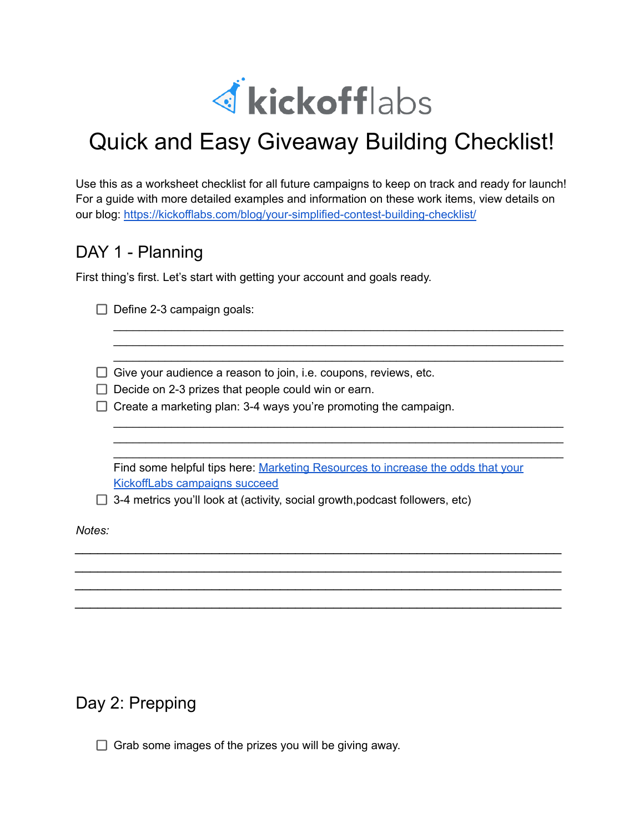

# Quick and Easy Giveaway Building Checklist!

Use this as a worksheet checklist for all future campaigns to keep on track and ready for launch! For a guide with more detailed examples and information on these work items, view details on our blog: <https://kickofflabs.com/blog/your-simplified-contest-building-checklist/>

\_\_\_\_\_\_\_\_\_\_\_\_\_\_\_\_\_\_\_\_\_\_\_\_\_\_\_\_\_\_\_\_\_\_\_\_\_\_\_\_\_\_\_\_\_\_\_\_\_\_\_\_\_\_\_\_\_\_\_\_\_\_\_\_\_\_\_\_\_\_ \_\_\_\_\_\_\_\_\_\_\_\_\_\_\_\_\_\_\_\_\_\_\_\_\_\_\_\_\_\_\_\_\_\_\_\_\_\_\_\_\_\_\_\_\_\_\_\_\_\_\_\_\_\_\_\_\_\_\_\_\_\_\_\_\_\_\_\_\_\_ \_\_\_\_\_\_\_\_\_\_\_\_\_\_\_\_\_\_\_\_\_\_\_\_\_\_\_\_\_\_\_\_\_\_\_\_\_\_\_\_\_\_\_\_\_\_\_\_\_\_\_\_\_\_\_\_\_\_\_\_\_\_\_\_\_\_\_\_\_\_

\_\_\_\_\_\_\_\_\_\_\_\_\_\_\_\_\_\_\_\_\_\_\_\_\_\_\_\_\_\_\_\_\_\_\_\_\_\_\_\_\_\_\_\_\_\_\_\_\_\_\_\_\_\_\_\_\_\_\_\_\_\_\_\_\_\_\_\_\_\_ \_\_\_\_\_\_\_\_\_\_\_\_\_\_\_\_\_\_\_\_\_\_\_\_\_\_\_\_\_\_\_\_\_\_\_\_\_\_\_\_\_\_\_\_\_\_\_\_\_\_\_\_\_\_\_\_\_\_\_\_\_\_\_\_\_\_\_\_\_\_ \_\_\_\_\_\_\_\_\_\_\_\_\_\_\_\_\_\_\_\_\_\_\_\_\_\_\_\_\_\_\_\_\_\_\_\_\_\_\_\_\_\_\_\_\_\_\_\_\_\_\_\_\_\_\_\_\_\_\_\_\_\_\_\_\_\_\_\_\_\_

## DAY 1 - Planning

First thing's first. Let's start with getting your account and goals ready.

 $\Box$  Define 2-3 campaign goals:

 $\Box$  Give your audience a reason to join, i.e. coupons, reviews, etc.

 $\Box$  Decide on 2-3 prizes that people could win or earn.

 $\Box$  Create a marketing plan: 3-4 ways you're promoting the campaign.

Find some helpful tips here: Marketing [Resources](https://kickofflabs.com/marketing-resources/) to increase the odds that your [KickoffLabs](https://kickofflabs.com/marketing-resources/) campaigns succeed

*\_\_\_\_\_\_\_\_\_\_\_\_\_\_\_\_\_\_\_\_\_\_\_\_\_\_\_\_\_\_\_\_\_\_\_\_\_\_\_\_\_\_\_\_\_\_\_\_\_\_\_\_\_\_\_\_\_\_\_\_\_\_\_\_ \_\_\_\_\_\_\_\_\_\_\_\_\_\_\_\_\_\_\_\_\_\_\_\_\_\_\_\_\_\_\_\_\_\_\_\_\_\_\_\_\_\_\_\_\_\_\_\_\_\_\_\_\_\_\_\_\_\_\_\_\_\_\_\_ \_\_\_\_\_\_\_\_\_\_\_\_\_\_\_\_\_\_\_\_\_\_\_\_\_\_\_\_\_\_\_\_\_\_\_\_\_\_\_\_\_\_\_\_\_\_\_\_\_\_\_\_\_\_\_\_\_\_\_\_\_\_\_\_ \_\_\_\_\_\_\_\_\_\_\_\_\_\_\_\_\_\_\_\_\_\_\_\_\_\_\_\_\_\_\_\_\_\_\_\_\_\_\_\_\_\_\_\_\_\_\_\_\_\_\_\_\_\_\_\_\_\_\_\_\_\_\_\_*

 $\Box$  3-4 metrics you'll look at (activity, social growth, podcast followers, etc)

*Notes:*

## Day 2: Prepping

 $\Box$  Grab some images of the prizes you will be giving away.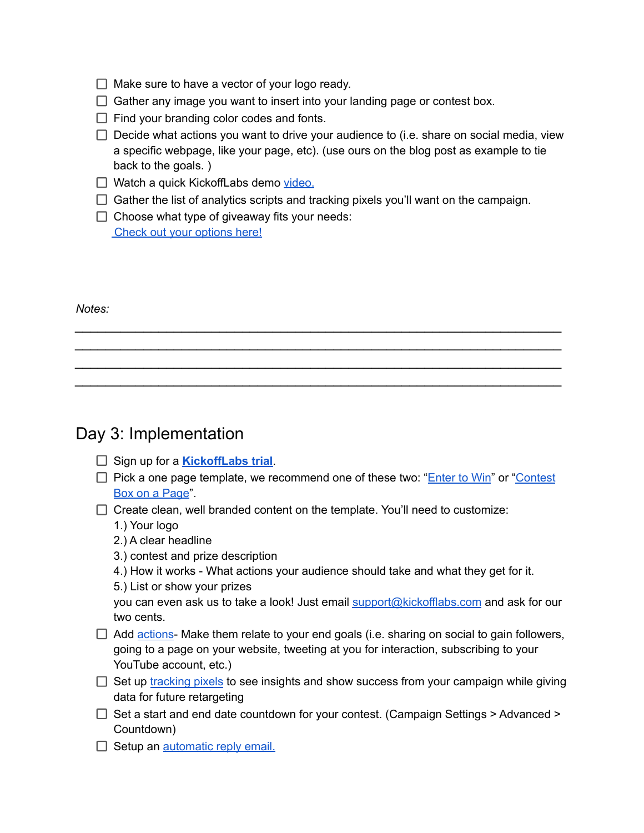- $\Box$  Make sure to have a vector of your logo ready.
- $\Box$  Gather any image you want to insert into your landing page or contest box.
- $\Box$  Find your branding color codes and fonts.
- $\Box$  Decide what actions you want to drive your audience to (i.e. share on social media, view a specific webpage, like your page, etc). (use ours on the blog post as example to tie back to the goals. )
- $\Box$  Watch a quick KickoffLabs demo [video.](https://vimeo.com/330602360)
- $\Box$  Gather the list of analytics scripts and tracking pixels you'll want on the campaign.

*\_\_\_\_\_\_\_\_\_\_\_\_\_\_\_\_\_\_\_\_\_\_\_\_\_\_\_\_\_\_\_\_\_\_\_\_\_\_\_\_\_\_\_\_\_\_\_\_\_\_\_\_\_\_\_\_\_\_\_\_\_\_\_\_ \_\_\_\_\_\_\_\_\_\_\_\_\_\_\_\_\_\_\_\_\_\_\_\_\_\_\_\_\_\_\_\_\_\_\_\_\_\_\_\_\_\_\_\_\_\_\_\_\_\_\_\_\_\_\_\_\_\_\_\_\_\_\_\_ \_\_\_\_\_\_\_\_\_\_\_\_\_\_\_\_\_\_\_\_\_\_\_\_\_\_\_\_\_\_\_\_\_\_\_\_\_\_\_\_\_\_\_\_\_\_\_\_\_\_\_\_\_\_\_\_\_\_\_\_\_\_\_\_ \_\_\_\_\_\_\_\_\_\_\_\_\_\_\_\_\_\_\_\_\_\_\_\_\_\_\_\_\_\_\_\_\_\_\_\_\_\_\_\_\_\_\_\_\_\_\_\_\_\_\_\_\_\_\_\_\_\_\_\_\_\_\_\_*

 $\Box$  Choose what type of giveaway fits your needs: Check out your [options](https://kickofflabs.com/) here!

*Notes:*

### Day 3: Implementation

- □ Sign up for a **[KickoffLabs](https://kickofflabs.com/) trial**.
- $\Box$  Pick a one page template, we recommend one of these two: "*[Enter](https://app.kickofflabs.com/landing-page-templates/enter-to-win) to Win*" or "*Contest* Box on a [Page](https://app.kickofflabs.com/landing-page-templates/enter-to-win-box-hero)".
- $\Box$  Create clean, well branded content on the template. You'll need to customize:
	- 1.) Your logo
	- 2.) A clear headline
	- 3.) contest and prize description
	- 4.) How it works What actions your audience should take and what they get for it.
	- 5.) List or show your prizes

you can even ask us to take a look! Just email [support@kickofflabs.com](mailto:support@kickofflabs.com) and ask for our two cents.

- $\Box$  Add [actions](https://kickofflabs.com/features/contest-actions/) Make them relate to your end goals (i.e. sharing on social to gain followers, going to a page on your website, tweeting at you for interaction, subscribing to your YouTube account, etc.)
- $\Box$  Set up [tracking](https://support.kickofflabs.com/knowledgebase/facebook-tracking-pixel-setup-tips) pixels to see insights and show success from your campaign while giving data for future retargeting
- $\Box$  Set a start and end date countdown for your contest. (Campaign Settings > Advanced > Countdown)
- $\Box$  Setup an [automatic](https://support.kickofflabs.com/documentation/messaging/setting-up-an-automatic-reply-email) reply email.